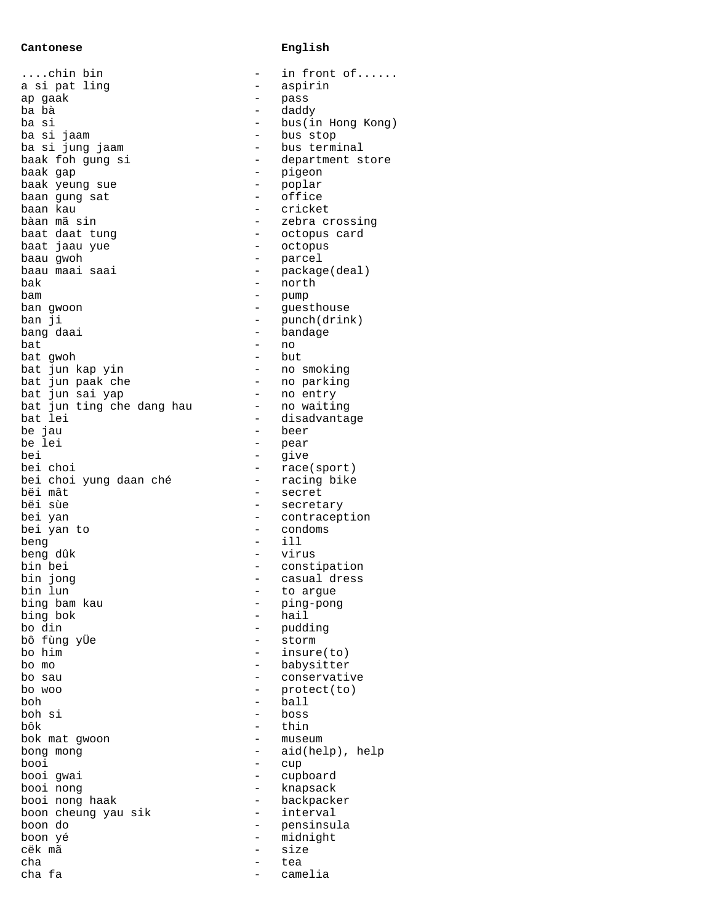## **Cantonese English**

....chin bin - in front of...... a si pat ling ap gaak<br>ba bà ba bà - daddy ba si - bus(in Hong Kong) ba si jaam ba si jung jaam baak foh gung si baak gap baak yeung sue baan gung sat baan kau bàan mã sin baat daat tung baat jaau yue baau qwoh baau maai saai bak - north bam - pump ban gwoon ban ji bang daai<br>bat bat - no bat gwoh bat jun kap yin bat jun paak che bat jun sai yap bat jun ting che dang hau bat lei be jau be lei<br>bei bei - give bei choi bei choi yung daan ché bëi mât bëi sùe bei yan bei yan to beng - ill beng dûk bin bei bin jong bin lun bing bam kau bing bok bo din bô fùng yÜe bo him bo mo  $-$  babysitter bo sau  $\sim$  - conservative bo woo  $-$  protect(to) boh - ball boh si<br>bôk bôk - thin bok mat gwoon bong mong<br>booi booi - cup booi gwai booi nong booi nong haak boon cheung yau sik boon do boon yé cëk mã cha - tea cha fa

|                         | ᅩᆚ<br>TIONIC OT   |
|-------------------------|-------------------|
|                         | aspirin           |
|                         |                   |
|                         | pass              |
|                         | daddy             |
|                         |                   |
|                         | bus(in Hong Kong) |
| $    -$                 | bus stop          |
|                         |                   |
|                         | bus terminal      |
|                         | department store  |
|                         |                   |
|                         | pigeon            |
|                         | poplar            |
|                         |                   |
|                         | -<br>office       |
|                         | cricket           |
| $\frac{1}{1}$           |                   |
|                         | zebra crossing    |
|                         | octopus card      |
|                         |                   |
| $\frac{1}{1}$           | octopus           |
|                         | parcel            |
|                         |                   |
|                         | package(deal)     |
|                         | north             |
|                         |                   |
|                         | pump              |
|                         | guesthouse        |
|                         |                   |
|                         | punch(drink)      |
|                         | bandage           |
|                         |                   |
|                         | no                |
| — — — — — — —           | but               |
|                         |                   |
|                         | no smoking        |
| $\overline{a}$          | no parking        |
| -----------             |                   |
|                         | entry<br>no       |
|                         | no waiting        |
|                         |                   |
|                         | disadvantage      |
|                         | beer              |
|                         |                   |
|                         | pear              |
|                         | give              |
|                         |                   |
|                         | race(sport)       |
|                         | racing bike       |
|                         |                   |
|                         | secret            |
| $\frac{-}{-}$           | secretary         |
|                         |                   |
|                         | contraception     |
|                         | condoms           |
|                         | i11               |
|                         |                   |
| $\frac{1}{1}$           | virus             |
|                         |                   |
|                         | constipation      |
|                         | casual dress      |
| $\overline{a}$          |                   |
|                         | to argue          |
|                         | ping-pong         |
|                         |                   |
|                         | hail              |
|                         | pudding           |
|                         |                   |
|                         | storm             |
|                         | insure(to)        |
|                         |                   |
|                         | babysitter        |
|                         | conservative      |
|                         |                   |
|                         | protect(to)       |
|                         | ball              |
|                         |                   |
|                         | boss              |
|                         | thin              |
|                         |                   |
|                         | museum            |
|                         | aid(help), help   |
|                         |                   |
|                         | cup               |
|                         | cupboard          |
|                         |                   |
|                         | knapsack          |
|                         | backpacker        |
|                         |                   |
|                         | interval          |
|                         | pensinsula        |
|                         |                   |
|                         | midnight          |
| _______________________ | size              |
|                         |                   |
| $\overline{a}$          | tea               |
|                         | camelia           |
|                         |                   |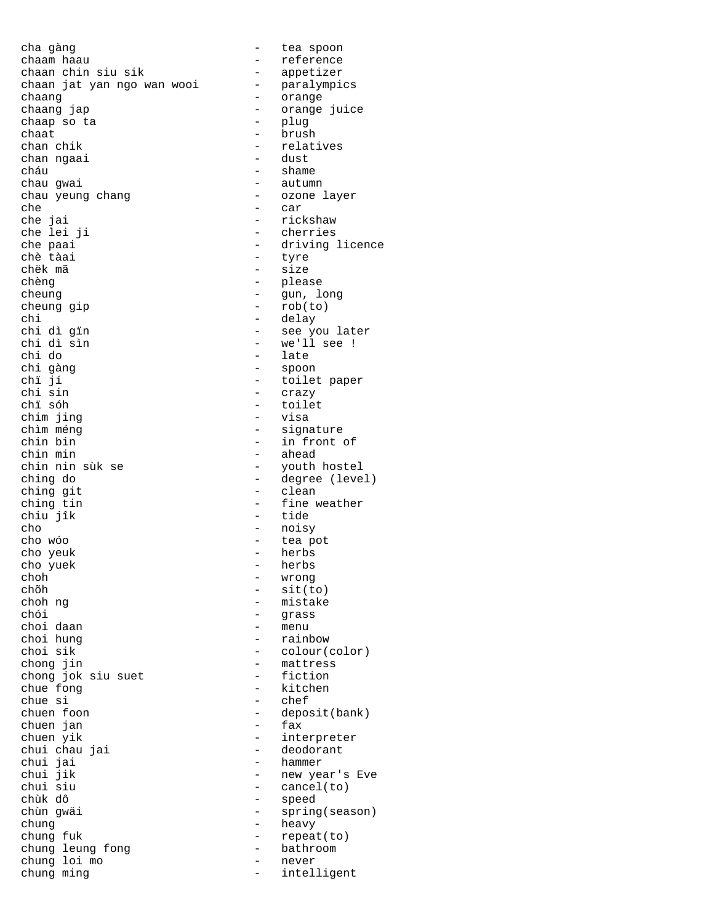cha gàng  $-$  tea spoon chaam haau - reference<br>chaan chin siu sik - appetizer chaan chin siu sik chaan jat yan ngo wan wooi chaang - orange chaap so ta chaat - brush - brush - brush - brush - chan chik chan ngaai cháu  $-$  shame chau gwai - autumn chau yeung chang - ozone layer che  $-$  car che jai - rickshaw che paai - driving licence<br>
chè tàai - tyre<br>
- tyre chè tàai - tyre<br>chëk mã - size chèng  $\begin{array}{ccc} - & - & - \\ - & \text{phase} \\ - & \text{cun} \\ 1 & - \text{cun} \end{array}$ cheung - gun, long cheung gip - rob(to) chi - delay<br>chi dì gin - delay<br>- see y chi dì gïn - see you later chi dì sìn - we'll see ! chi gàng - spoon chï jí - toilet paper chi sin - crazy chim jing<br>chìm méng chìm méng - signature chin bin  $\frac{1}{2}$  - in front of chin min  $\frac{1}{2}$  - ahead chin min - ahead ching do  $-$  degree (level) ching git  $-$  clean ching tin - fine weather chiu jîk - tide cho - noisy - noisy - noisy - noisy - noisy - tea p cho yeuk - herbs cho yuek - herbs<br>
choh - wrong choh - wrong choh - wrong choh - wrong choh - wrong - wrong - wrong - wrong - wrong - wrong - wrong - wrong - wrong - wrong - wrong - wrong - wrong - wrong - wrong - wrong - wrong - wrong - wrong - wrong - wrong - wrong chõh - sit(to) choh ng - mistake choi daan<br>choi hung choi hung  $\begin{array}{ccc} - & r \text{ainbow} \\ - & \text{colour} \end{array}$ chong jin<br>
chong jok siu suet and the fiction chong jok siu suet chue fong - kitchen chue si - chef chuen foon - deposit(bank)<br>chuen jan - fax chuen jan<br>chuen yik chuen yik - interpreter chui chau jai - deodorant chui jai - hammer chui jik - new year's Eve<br>
chui siu - cancel(to) chui siu - cancel(to)<br>chùk dô - speed chùk dô - speed chung heavy chung fuk - repeat(to)<br>chung leung fong - bathroom chung leung fong - bathroom - bathroom - bathroom - bathroom - bathroom - bathroom - bathroom - bathroom - bathroom - bathroom - bathroom - bathroom - bathroom - bathroom - bathroom - bathroom - bathroom - bathroom - bath chung loi mo chung ming extending the state of the chung ming

- orange juice<br>- plug - relatives<br>- dust - cherries - size - late - toilet<br>- visa - youth hostel - tea pot - grass<br>- menu - colour(color) - spring(season)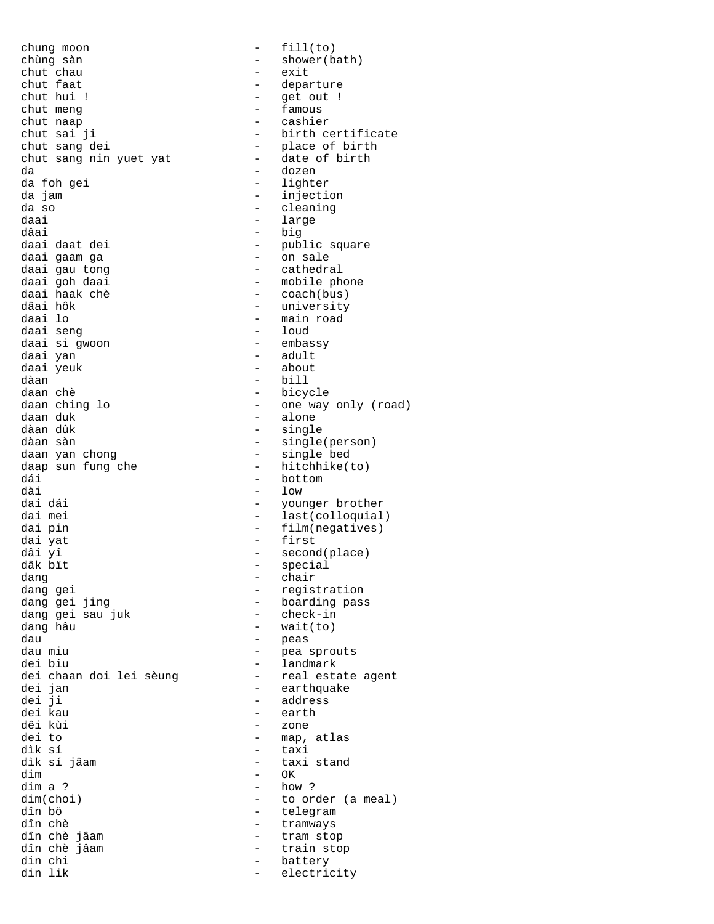chung moon - fill(to) chùng sàn - shower(bath) chut chau<br>chut faat chut faat  $\begin{array}{ccc} - & - & - \\ - & - & - \end{array}$  departure chut hui ! - get out !<br>
chut meng - famous chut meng<br>chut meng<br>chut naap - cashie: chut naap<br>
chut sai ji<br>
- birth c chut sang dei - place of birth chut sang nin yuet yat - date of birth da - dozen da foh gei da jam  $\overline{\phantom{a}}$  - injection da so  $-$  cleaning daai - large - large - large - large - large - large - large - large - large - large - large - large - large -<br>dâai - large - large - large - large - large - large - large - large - large - large - large - large - large dâai - big daai daat dei - public square daai gaam ga $\qquad \qquad \qquad$  - on sale daai gau tong 1986 - cathedral<br>daai goh daai 1990 - cathedral - cathedral daai goh daai - mobile phone<br>daai haak chè - - coach(bus) daai haak chè - coach(bus) dâai hôk - university daai seng - loud daai si gwoon daai yan  $\overline{ }$  - adult daai yeuk - about daan chè  $-$  bicycle daan ching lo - one way only (road) daan duk - alone dàan dûk - single dàan sàn<br>daan yan chong daan yan chong (belling terminology of the single bed) daap sun fung che  $-$  hitchhike(to) dái - bottom - bottom<br>dài - low dài - low dai mei  $-$  last(colloquial) dai pin - film(negatives) dai yat - first dâi yî - second(place) dang  $\frac{1}{2}$  dang gei  $\frac{1}{2}$  - chair dang gei ing and the set of the registration<br>dang gei jing and the boarding pass dang gei sau juk  $d$ ang hâu  $-$  wait(to) dau - peas dau miu  $-$  pea sprouts<br>dei biu  $-$  landmark dei chaan doi lei sèung<br>dei jan dei jan - earthquake dei ji - address dei kau - earth dêi kùi - zone dei to - map, atlas dìk sí - taxi  $\begin{array}{cccc}\n\text{dim} & & - & \text{OK} \\
\text{dim} & a & ? & & & - & \text{how}\n\end{array}$ dim a ?  $-$  how ?  $-$  how ?  $-$  how ? dim(choi) - to order (a meal)<br>dîn bö dîn chè - tramways dîn chè jâam  $-$  tram stop dîn chè jâam  $\begin{array}{ccc} - & + \\ - & - \end{array}$  train stop din chi din chi  $-$  battery<br>din lik  $-$  electric

- birth certificate - main road<br>- loud - bill - single bed - younger brother - special - boarding pass<br>- check-in - landmark<br>- real estate agent - taxi stand - telegram - electricity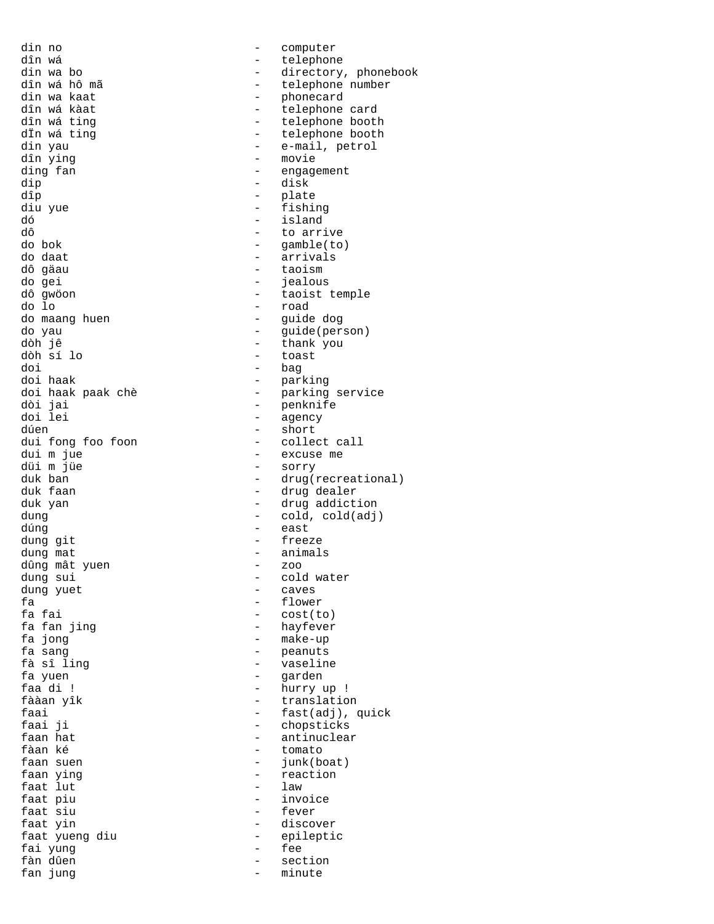din no - computer dîn wá - telephone din wa kaat  $\frac{1}{2}$  of the phonecard  $\frac{1}{2}$  of the phonecard  $\frac{1}{2}$  of the telephone dîn ying  $\frac{1}{2}$  and  $\frac{1}{2}$  and  $\frac{1}{2}$  and  $\frac{1}{2}$  and  $\frac{1}{2}$  and  $\frac{1}{2}$  and  $\frac{1}{2}$  and  $\frac{1}{2}$  and  $\frac{1}{2}$  and  $\frac{1}{2}$  and  $\frac{1}{2}$  and  $\frac{1}{2}$  and  $\frac{1}{2}$  and  $\frac{1}{2}$  and  $\frac{1}{2}$  and  $\frac$ dip - disk  $d\hat{p}$  - plate diu yue - fishing dó - island dô - to arrive<br>do bok - qamble(to do bok - gamble(to) do daat - arrivals dô gäau - taoism do gei - jealous do maang huen and a maang huen and a maang termanang managdòh jê - thank you doi - bag doi haak - parking dòi jai - penknife doi lei - agency dúen - short<br>dui fong foo foon - colle dui fong foo foon - collect call<br>dui m jue - excuse me dui m jue<br>düi m jüe - excuse me düi m jüe - sorry dúng - east dung git  $-$  freeze dung mat<br>dûng mât yuen - animals<br>- zoo dûng mât yuen dung sui entry and the cold water dung yuet - caves fa - flower<br>fa fai - flower<br>- cost(t fa fai - cost(to)<br>fa fan jing - hayfever fa fan jing<br>fa jong 1988 - Hayfever<br>fa jong 1988 - make-up fa jong<br>fa sanq<br>fa sanq<br>fa sanq<br>fa sanq<br>fa sanq<br>fa sanq<br>fa sanq<br>fa sanq<br>fa sanq<br>fa sanq<br>fa sanq<br>fa sanq<br>fa sanq<br>fa sanq<br>fa sanq<br>fa sanq fa sanq fa sanq fa sanq fa sanq fa sanq fa sanq fa sanq fa sanq fa sanq fa sanq fa san fà sî ling - vaseline fa yuen and the set of the set of the set of the set of the set of the set of the set of the set of the set of the set of the set of the set of the set of the set of the set of the set of the set of the set of the set of t faa di ! - hurry up ! fààan yîk  $-$  translation faai ji  $-$  chopsticks  $-$  chopsticks  $-$  antinuclear  $-$  antinuclear  $-$  antinuclear  $$ faan hat  $\begin{array}{ccc} - & \text{antinuclear} \\ - & \text{tomato} \end{array}$ fàan ké - tomato faan ying  $\begin{array}{ccc} - & - & - \\ - & 1 & - \\ \end{array}$ faat lut<br>faat piu faat piu  $-$  invoice faat siu faat yin - discover faat yueng diu  $-$  epileptic<br>fai yung  $-$  fee fai yung fàn dûen - section fan jung 1988 - Maria en Santa Communication en analysis en analysis en analysis en analysis en analysis en an

din wa bo  $\frac{1}{2}$  - directory, phonebook dîn wá hô mã dîn wá hô mã - telephone number dîn wá kàat - telephone card dîn wá ting<br>
dīn wá ting<br>
dīn wá ting<br>
and telephone booth<br>
- telephone booth dÏn wá ting  $\begin{array}{ccc} - & + \text{telephone both} \\ - & \text{ee-mail, petrol} \end{array}$ - e-mail, petrol - engagement dô gwöon - taoist temple - road do yau - guide(person) - toast doi haak paak chè - parking service duk ban - drug(recreational) - drug dealer duk yan - drug addiction dung dung - cold, cold(adj) - peanuts<br>- vaselin faai - fast(adj), quick<br>faai ji - fast(adj), quick junk(boat) - fever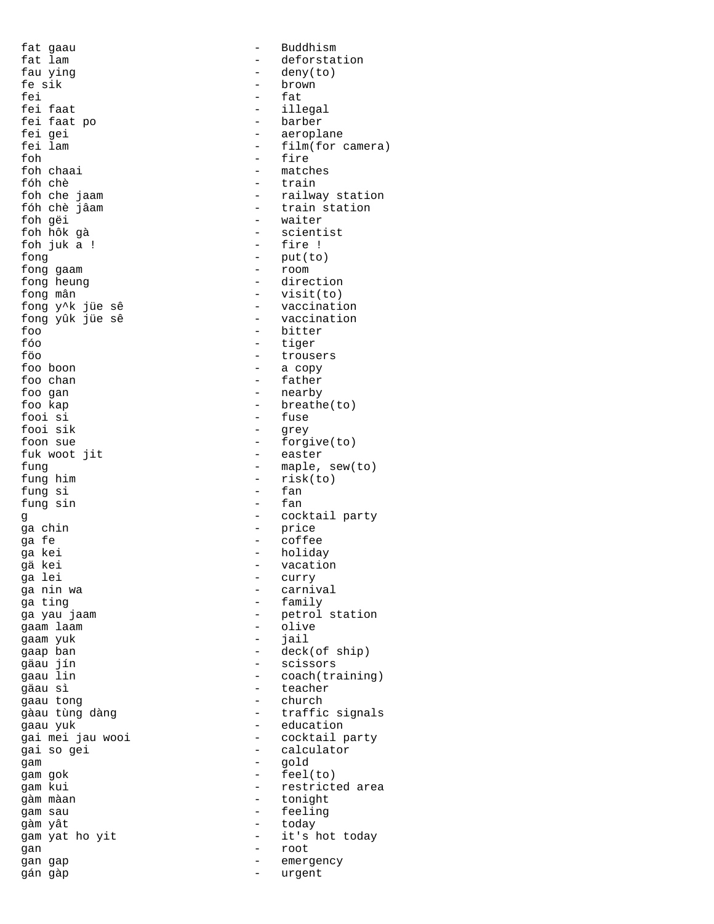fat gaau  $-$  Buddhism fau ying  $-$  deny(to)<br>fe sik  $-$  hrown fe sik - brown fei - fat fei faat po<br>fei gei fei gei - aeroplane foh - fire foh chaai - matches<br>fóh chè - train fóh chè  $-$  train<br>foh che jaam  $-$  railwa foh gëi - waiter foh hôk gà - scientist foh juk a ! - fire ! fong  $-$  put(to)<br>fong gaam  $-$  room  $-$  room fong gaam fong heung  $-$  direction fong mân - visit(to) foo - bitter fóo - tiger foo boon - a copy foo chan - father foo gan  $-$  nearby fooi si<br>fooi sik - fuse<br>fooi sik - grev fooi sik - grey fuk woot jit fung him  $-$  risk(to)<br>fung si  $-$  fan fung si - fan fung sin ga chin - price ga fe - coffee ga kei - holiday gä kei - vacation ga nin wa  $\qquad \qquad -$  carnival ga ting - family gaam laam  $\sim$  - olive gaam yuk - jail gäau jín - scissors gäau sì - teacher gaau yuk<br>gaau yuk - education<br>gai mei jau wooi - cocktail p gam - gold gam gok - feel(to) gàm màan - tonight gam sau  $-$  feeling gàm yât - today gan - root gan gap  $\qquad$  - emergency

fat lam  $\qquad \qquad -$  deforstation - illegal<br>- barber - film(for camera) - railway station fóh chè jâam  $-$  train station - vaccination fong yûk jüe sê - vaccination - trousers foo kap - breathe(to) foon sue - forgive(to)<br>fuk woot jit - easter fung - maple, sew(to) g - cocktail party - curry - petrol station gaap ban - deck(of ship) gaau lin  $\sim$  - coach(training) - church gàau tùng dàng  $-$  traffic signals - cocktail party gai so gei  $-$  calculator gam kui  $-$  restricted area gam yat ho yit  $-$  it's hot today gán gàp - urgent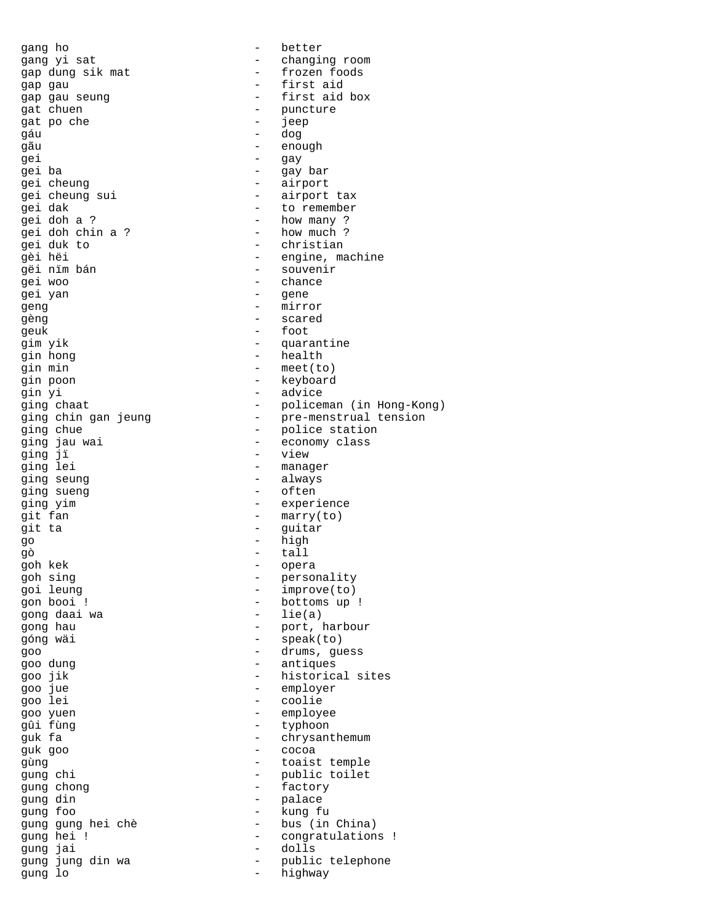gap dung sik mat  $-$  frozen foods gap gau - first aid gat chuen  $\begin{array}{ccc} - & - \\ - & \end{array}$  puncture and no che gat po che - jeep gáu - dog gãu - enough gei - gay gei ba - gay bar gei cheung  $\qquad -$  airport gei cheung sui - airport tax gei dak  $-$  to remember gei doh a ? - how many ? pei doh chin a ? - how much ?<br>gei duk to - christian gei duk to - christian gëi nïm bán - souvenir gei yan - gene geng - mirror gèng - scared geuk - foot gim yik  $-$  quarantine gin hong  $\qquad$  - health gin min - meet(to) gin poon - keyboard gin yi - advice ging jï - view ging seung  $\qquad \qquad$  - always ging sueng  $-$  often ging yim - experience git fan  $\begin{array}{ccc} - & \text{marry}(\text{to}) \\ - & \text{marry}(\text{to}) \end{array}$ git ta  $-$  guitar go - high gò en la component de la component de la component de la component de la component de la component de la compo<br>En la component de la component de la component de la component de la component de la component de la componen goh kek - opera goh sing  $\qquad \qquad$  - personality goi leung - improve(to) gon booi ! - bottoms up ! gong daai wa góng wäi - speak(to) goo - drums, guess goo dung extra the contract of the contract of the antiques goo jue - employer goo lei - coolie goo yuen - employee guk goo - cocoa gung chong  $-$  factory gung din  $-$  palace gung foo - kung fu gung jung din wa - public telephone of the public telephone of the public telephone of the public telephone of the public telephone of the public telephone of the public telephone of the public telephone of the public tele gung lo - highway

gang ho  $-$  better gang yi sat  $-$  changing room gap gau seung - first aid box - engine, machine<br>gëi nim bán - engine, machine<br>- souvenir - chance ging chaat  $\qquad \qquad -$  policeman (in Hong-Kong) ging chin gan jeung - pre-menstrual tension ging chue  $\qquad \qquad$  - police station ging jau wai - economy class - manager gong hau  $-$  port, harbour goo jik - historical sites - typhoon guk fa  $-$  chrysanthemum gùng - toaist temple gung chi - public toilet gung gung hei chè - bus (in China) gung hei ! - congratulations !<br>gung jai \* - dolls - dolls<br>- public telephone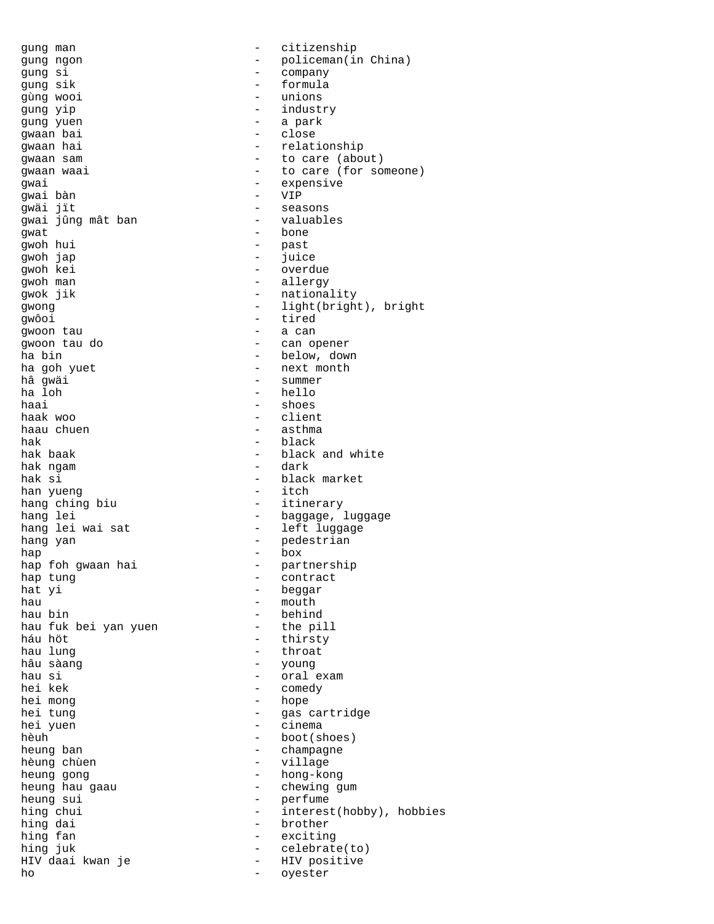gung si - company gung sik - formula gùng wooi - unions gung yip - industry gung yuen - a park gwaan bai - close - expensive - expensive - expensive - expensive - expensive - expensive - expensive - expensive - expensive -  $VIP$ gwai bàn gwäi jït - seasons gwai jûng mât ban gwat - bone<br>qwoh hui - past gwoh hui - past gwoh jap - juice gwoh kei - overdue<br>gwoh man - overdue - overdue<br>- allergy gwoh man - allergy gwôoi - tired gwoon tau qwoon tau do  $\overline{a}$  - can opener ha bin  $-$  below, down ha goh yuet  $-$  next month hâ gwäi - summer haai - shoes haak woo - client haau chuen - asthma - asthma - asthma - asthma - asthma - asthma - asthma - asthma - asthma - asthma - asthma <br>- black hak - black hak ngam - dark han yueng hang ching biu  $-$  itinerary hang lei wai sat  $-$  left luggage hang yan  $\begin{array}{ccc} - & - & - \text{pedestrian} \\ \text{hap} & - & \text{box} \end{array}$ hap - box hap foh gwaan hai  $\hskip1cm -10$  - partnership hap tung states and the contract contract hat yi  $-$  beggar hau - mouth - mouth hau bin - mouth - mouth - mouth - mouth - mouth - mouth - mouth - mouth - mouth - mouth - <br>
- behin hau fuk bei yan yuen<br>háu höt háu höt - thirsty hâu sàang - young hau si - oral exam hei kek - comedy<br>hei mong - hope - hope hei mong - hope hei yuen - cinema hèuh - boot(shoes)<br>heung ban - champagne heung ban - champagne heung gong  $-$  hong-kong<br>heung hau gaau  $-$  chewing g heung sui  $-$  perfume hing dai  $-$  brother hing fan 1999 - exciting hing juk 1999 - exciting hing juk 1999 - exciting to the set of the set of the set of the set of the set of the set of the set of the set of the set of the set of the set of the set of the set of t HIV daai kwan je  $-$  HIV positive ho - oyester

gung man  $-$  citizenship gung ngon - policeman(in China) - relationship gwaan sam  $-$  to care (about) gwaan waai  $\qquad \qquad -$  to care (for someone) - nationality gwong  $-$  light(bright), bright - hello - black and white - black market<br>- itch hang lei - baggage, luggage - behind<br>- the pill - throat hei tung - gas cartridge - village - chewing gum hing chui  $-$  interest(hobby), hobbies - celebrate(to)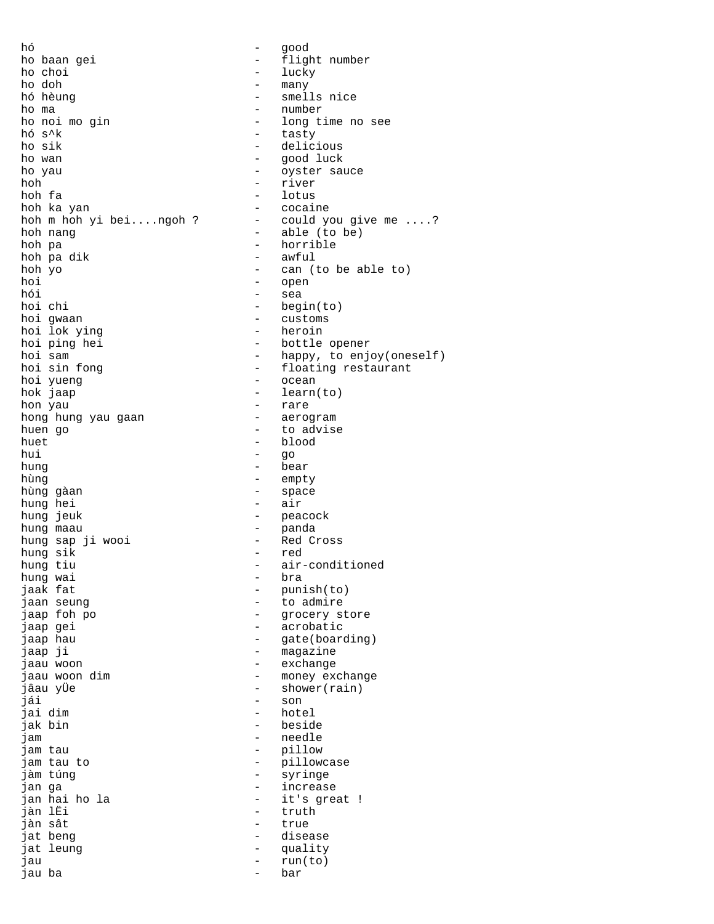hó - good ho baan gei en metal and the flight number  $\begin{array}{ccc}\n\text{ho choi} & - & \text{lucky} \\
\text{ho doh} & - & \text{many}\n\end{array}$ ho doh - many ho ma  $\overline{\phantom{a}}$  - number<br>ho noi mo gin  $\overline{\phantom{a}}$  - long t: ho noi mo gin  $-$  long time no see<br>hó s<sup>^</sup>k  $-$  tasty hó s<sup>^</sup>k  $-$  tasty  $-$  tasty  $-$  delici ho wan - good luck ho yau  $-$  oyster sauce hoh - river hoh fa - lotus hoh ka yan  $-$  cocaine hoh m hoh yi bei....ngoh ? - could you give me ....? hoh nang  $\qquad \qquad$  - able (to be) hoh pa - horrible hoh pa dik - awful - awful - awful - awful - awful - awful - awful - awful - awful - awful - awful - awful - awful - awful - awful - awful - awful - awful - awful - awful - awful - awful - awful - awful - awful - awful - a hoh yo - can (to be able to) hoi - open<br>hói - sea hói - sea<br>hoichi - beg hoi chi - begin(to)<br>hoi qwaan - customs hoi lok ying<br>hoi ping hei hoi ping hei  $-$  bottle opener<br>hoi sam  $-$  happy, to enj hoi sin fong  $-$  floating restaurant<br>hoi yueng  $-$  ocean hoi yueng  $\qquad \qquad$  - ocean hok jaap - learn(to) hon yau - rare hong hung yau gaan huen go  $-$  to advise huet - blood<br>hui - qo hui - go hung - bear hùng - empty hùng gàan - space hung hei hung jeuk - peacock hung maau - panda hung sap ji wooi - Red Cross hung sik hung tiu  $-$  air-conditioned<br>hung wai  $-$  bra hung wai<br>jaak fat jaan seung - to admire jaap foh po - grocery store jaap hau  $-$  gate(boarding) jaap ji  $-$  magazine jaau woon - exchange jaau woon dim eeu money exchange jâau yÜe - shower(rain) jái - son jai dim - hotel jak bin - beside jam - needle jam tau to  $-$  pillowcase jàm túng - syringe jan hai ho la - it's great ! jàn sât  $-$  true jat beng  $-$  disease jat leung  $\qquad \qquad$  - quality jau - run(to) jau ba - bar

- smells nice - delicious - customs<br>- heroin - happy, to enjoy(oneself) - punish(to) - acrobatic - pillow - increase - truth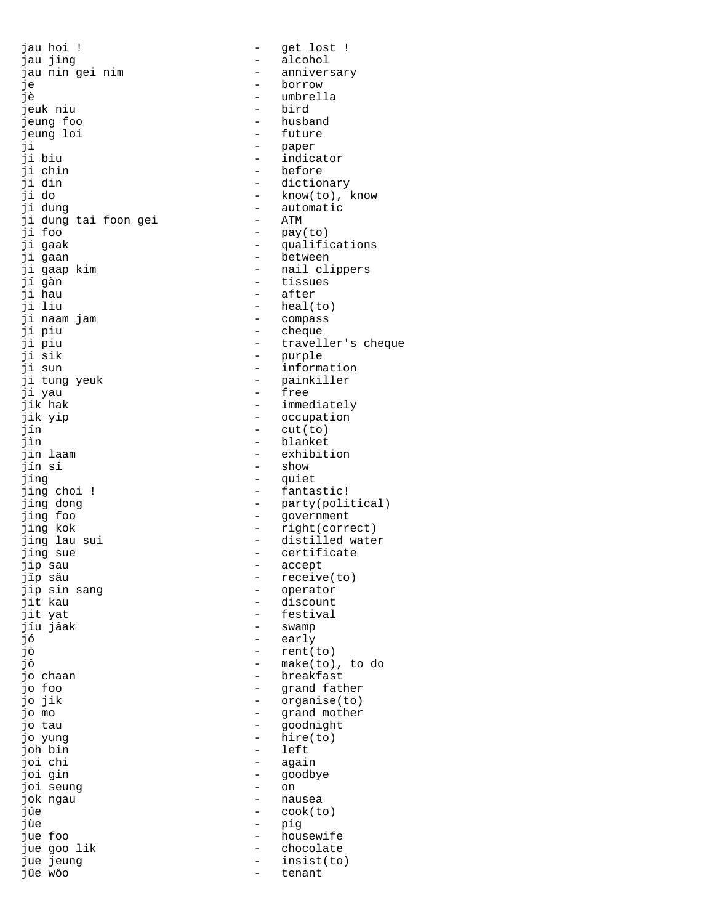jau hoi ! - get lost ! jau jing  $\qquad \qquad$  - alcohol jau nin gei nim anniversary - anniversary je **borrow** jè - umbrella jeuk niu jeung foo - husband jeung loi - future ji - paper - paper - paper - paper - paper - paper - paper - paper - paper - paper - paper - paper - paper - paper - paper - paper - paper - paper - paper - paper - paper - paper - paper - paper - paper - paper - paper - p ji chin - before ji din - dictionary ji dung - automatic ji dung tai foon gei ji foo - pay(to) ji gaak  $\qquad \qquad -$  qualifications ji gaan - between ji gaap kim  $-$  nail clippers jí gàn - tissues ji hau - after ji naam jam - compass ji piu - cheque jì piu - traveller's cheque ji sik - purple ji sun  $-$  information ji tung yeuk - painkiller<br>ji yau - free ji yau - free jik hak - immediately jik yip - occupation<br>
iin - cut(to) jín - cut(to) jìn 1988 - Blanket (1989)<br>1991 - Johann Amerikaanse beskrywt (1989)<br>1992 - Johann Amerikaanse beskrywt (1989) jín sî - show jing - quiet jing dong  $-$  party(political) jing foo - government jing kok - right(correct) jing lau sui  $-$  distilled water jing sue  $\qquad \qquad -$  certificate<br>ip sau  $\qquad \qquad -$  accept jip sau - accept jip sin sang  $\begin{array}{ccc} - & - & \text{operator} \\ - & \text{discount} \end{array}$ jit kau - discount jíu jâak - swamp jó - early jô - make(to), to do jo chaan  $\qquad \qquad$  - breakfast jo foo - grand father jo mo - grand mother jo tau - goodnight jo yung - hire(to) joh bin - left joi gin - goodbye joi seung - on jok ngau - nausea jùe - pig jue foo - housewife jue goo lik - chocolate jue jeung  $-$  insist(to) jûe wôo - tenant

- indicator - know(to), know - heal(to) - exhibition - fantastic! - receive(to)<br>- operator - festival - rent(to) - organise(to)<br>- grand mother - again<br>- goodb - cook(to)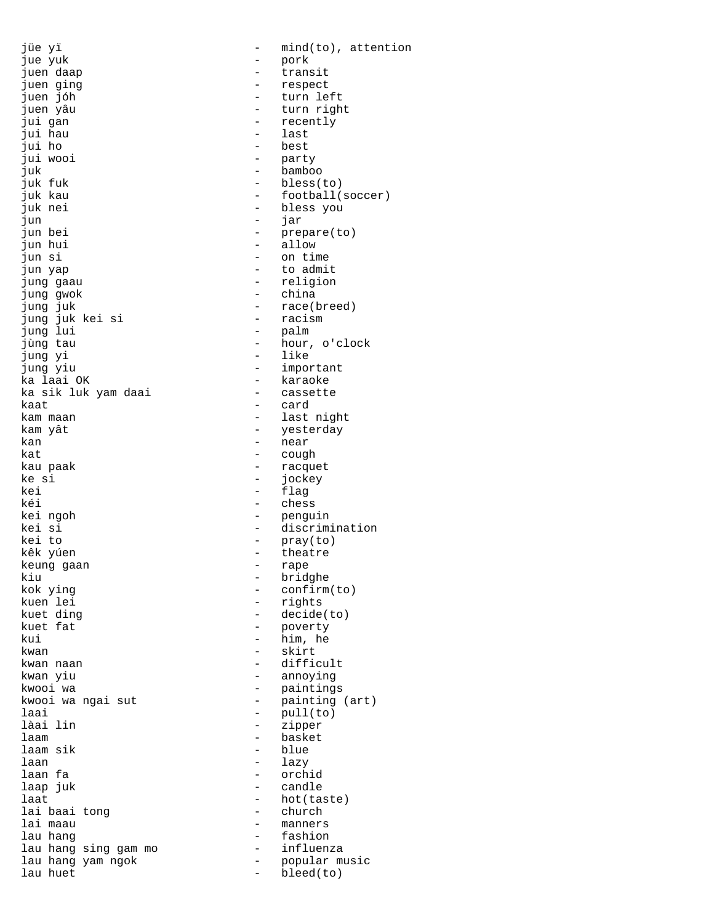jue yuk - pork juen daap  $\qquad \qquad$  - transit juen ging - respect juen jóh - turn left juen yâu - turn right jui gan - recently jui hau - last jui ho - best juk - bamboo juk nei - bless you jun - jar jun bei  $-$  prepare(to) jun hui - allow jun si - on time jun yap - to admit jung gaau  $-$  religion jung gwok - china jung juk kei si - racism jung lui<br>jùng tau jung yiu - important x = 1<br>ka laai OK + 1<br>ka sik luk yam daai + 1 + 1 + 1 + cassette ka sik luk yam daai kaat - card kam maan  $-$  last night kam yât  $-$  yesterday kan 1999 - Near Albert Hear (1999)<br>kat - near - Coud kau paak - racquet<br>ke si - racquet - racquet ke si - jockey kei - flag kei ngoh - penguin kei to - pray(to) kêk yúen - theatre keung gaan kiu - bridghe<br>kok ying - bridghe - confirm kok ying  $\begin{array}{ccc} - & \text{confirm}(\text{to}) \\ - & \text{rights} \end{array}$ kuen lei - rights kuet ding - decide(to) kui - him, he<br>kwan - skirt kwan naan - difficult kwan yiu - annoying kwooi wa - paintings laai - pull(to) làai lin ann an t-aisean an t-aisean an t-aisean an t-aisean an t-aisean an t-aisean an t-aisean an t-aisean a laam - basket laam sik die blue - blue laan - lazy laan fa - orchid laap juk - candle laat - hot(taste)<br>lai baai tong - church - church lai baai tong lai maau - manners<br>lau hang - manners - fashion lau hang - fashion lau hang sing gam mo - influenza  $l$ au huet  $-$  bleed(to)

jüe yï  $-$  mind(to), attention - party - bless(to) juk kau  $-$  football(soccer) - race(breed)<br>- racism jùng tau - hour, o'clock - like - cough - chess kei si - discrimination - poverty - skirt kwooi wa ngai sut  $\qquad \qquad$  - painting (art) lau hang yam ngok  $\qquad \qquad$  - popular music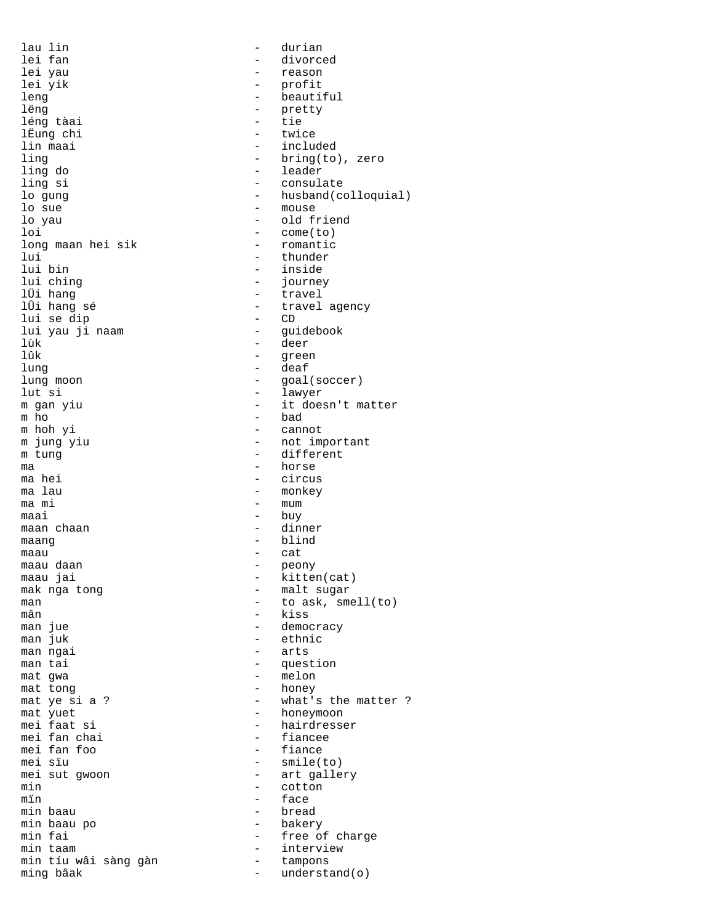lau lin - durian lei fan 1990 - divorced<br>1991 - divorced<br>1992 - Teason lei yau - reason leng - beautiful léng tàai - tie lËung chi<br>lin maai ling do - leader lo sue  $-$  mouse lo yau  $-$  old friend loi - come(to) long maan hei sik lui 11 - thunder 11 - thunder 11 - thunder 11 - thunder 11 - thunder 11 - thunder 11 - thunder 11 - thunder 1 lui bin - inside lui ching - journey lÜi hang - travel lui se dip - CD lui yau ji naam<br>lùk lùk - deer lung - deaf lung moon - goal(soccer) lut si - lawyer m ho  $\overline{p}$  - bad m hoh yi - cannot m jung yiu - not important<br>m tung - different ma - horse ma hei - circus ma lau - monkey maai - buy maan chaan - dinner maang blind - blind maau - cat<br>maau daan - cat - peor maau daan - peony mak nga tong  $\begin{array}{ccc} - & - \\ - & \text{malt sugar} \end{array}$  malt sugar mân - kiss<br>man jue - component - democ man jue - democracy man ngai  $-$  arts man tai  $-$  question mat gwa  $-$  melon mat tong  $\qquad -$  honey mat yuet - honeymoon mei fan chai - fiancee mei fan foo<br>mei sïu mei sut gwoon  $\begin{array}{ccc} - & \text{art gallery} \\ - & \text{cotton} \end{array}$ min - cotton – cotton – cotton – cotton – cotton – cotton – cotton – cotton – cotton – cotton – cotton – cotton – cotton – cotton – cotton – cotton – cotton – cotton – cotton – cotton – cotton – cotton – cotton – cotton – mïn - face min baau po  $-$  bakery min taam - interview min tíu wâi sàng gàn ming bâak  $-$  understand(o)

- profit - pretty<br>- tie - included ling  $\begin{array}{ccc} - & - & \text{bring} (to), \text{ zero} \\ - & \text{leader} \end{array}$ - consulate lo gung  $-$  husband(colloquial) - travel agency<br>- CD - green m gan yiu  $-$  it doesn't matter - different  $-$  mum - kitten(cat) man  $\overline{\phantom{a}}$  =  $\overline{\phantom{a}}$  +  $\overline{\phantom{a}}$  to ask, smell(to)  $\overline{\phantom{a}}$  +  $\overline{\phantom{a}}$  to ask, smell(to) - ethnic mat ye si a ? - what's the matter ?<br>mat yuet - honeymoon - hairdresser<br>- fiancee - smile(to) - bread min fai  $-$  free of charge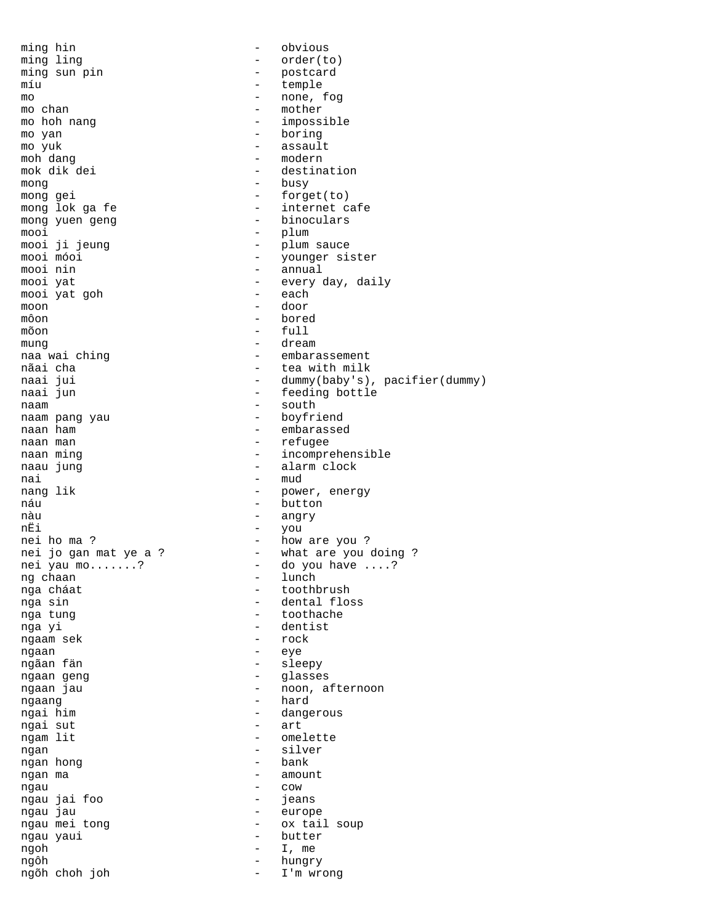ming hin  $\qquad$  - obvious ming ling  $\qquad \qquad - \qquad \text{order}(to)$ ming sun pin - postcard míu - temple  $\frac{m}{m}$  - none, fog<br>mo chan - mother - mother mo chan - mother mo hoh nang  $-$  impossible mo yan - boring - assault moh dang  $-$  modern mok dik dei  $-$  destination mong - busy - forget(to) mong lok ga fe  $-$  internet cafe mong yuen geng  $\qquad \qquad$  - binoculars mooi - plum mooi ji jeung - plum sauce mooi móoi - younger sister mooi nin - annual mooi yat - every day, daily mooi yat goh moon - door  $\begin{array}{ccc}\n\text{môon} & - & \text{bored} \\
\text{mõon} & - & \text{full}\n\end{array}$  $-$  full mung - dream - embarassement nãai cha  $-$  tea with milk<br>naai jui cha - dummy(baby's) naai jui - dummy(baby's), pacifier(dummy)<br>naai jun - feeding bottle - feeding bottle naam - south naam pang yau naan ham  $-$  embarassed naan man  $-$  refugee naan ming extension of the incomprehensible naau jung - alarm clock nai - mud<br>nang lik - movember - mud - power, energy náu - button nàu - angry nËi - you nei ho ma ?  $-$  how are you ? nei jo gan mat ye a ?  $\hskip1cm$  - what are you doing ? nei yau mo.......? - do you have ....? ng chaan  $-$  lunch nga cháat  $-$  toothbrush nga sin - dental floss - toothache nga yi - dentist ngaam sek ngaan - eye ngãan fän  $-$  sleepy ngaan geng  $-$  glasses ngaan jau - 1988 - 1988 - 1988 - 1988 - 1988 - 1988 - 1988 - 1988 - 1988 - 1988 - 1988 - 1988 - 1988 - 1988 - 1 ngaang - hard ngai him  $\begin{array}{cccc} - & \text{ dangerous} \\ - & \text{arc} \\ \end{array}$ ngai sut ngam lit - omelette ngan - silver ngan hong ngan ma  $\overline{a}$  amount ngau - cow ngau jai foo<br>ngau jau - europe ngau mei tong - ox tail soup ngau yaui  $-$  butter ngoh  $-$  I, me  $n \in \mathbb{N}$  and  $-$  hundred by  $-$  hundred by  $-$  hundred by  $-$  hundred by  $-$  hundred by  $-$  hundred by  $-$  hundred by  $-$  hundred by  $-$  hundred by  $-$  hundred by  $-$  hundred by  $-$  hundred by  $-$  hundre ngôh - hungry ngõh choh joh - I'm wrong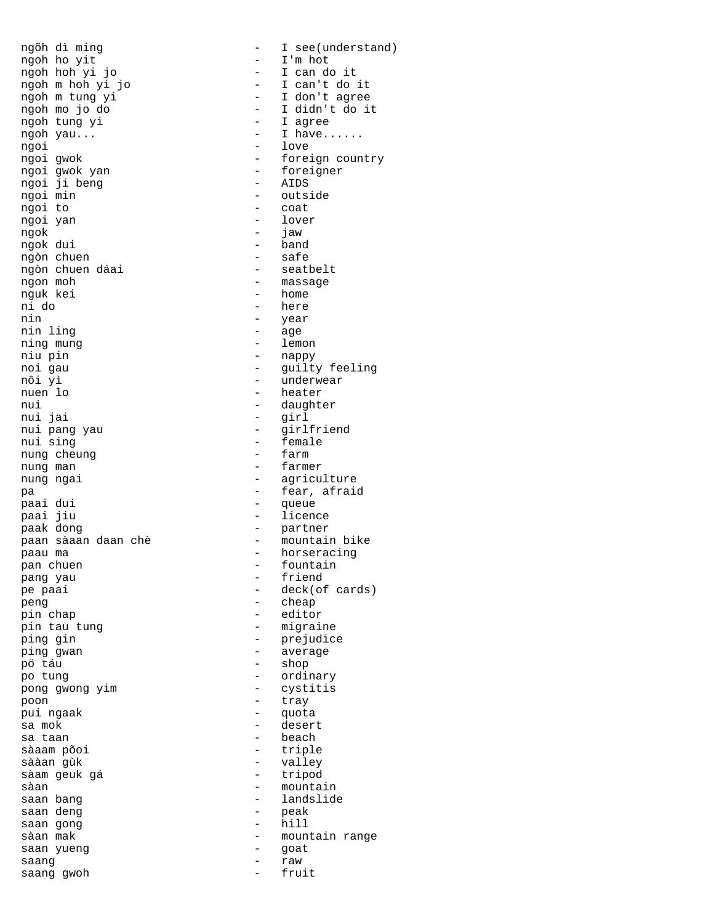ngoh ho yit - I'm hot ngoh hoh yi jo<br>ngoh m hoh yi jo ngoh m hoh yi jo  $-$  I can't do it<br>ngoh m tung yi  $-$  I don't agree ngoh m tung yi - I don't agree ngoh tung yi  $-$  I agree ngoh yau... ngoi - love<br>ngoi gwok - forei ngoi gwok yan - foreigner ngoi ji beng<br>ngoi min ngoi to - coat ngoi yan  $\qquad$  - lover ngok - jaw ngok dui - band ngòn chuen - safe ngòn chuen dáai<br>ngon moh ngon moh - massage nguk kei - home nin - year nin ling<br>
ning mung<br>
- lemon<br>
- lemon ning mung niu pin - nappy noi gau - guilty feeling nôi yì - underwear nuen lo  $-$  heater nui 1992 - daughter 1993 - daughter 1994 - daughter 1994 - daughter 1994 - daughter 1994 - daughter 1994 - daughter 1995 - daughter 1996 - daughter 1996 - daughter 1997 - daughter 1997 - daughter 1997 - daughter 1997 - dau nui jai - girl nui pang yau  $-$  girlfriend<br>nui sing  $-$  female nung cheung nung man  $\overline{\phantom{a}}$  - farmer nung ngai  $-$  agriculture pa  $\frac{3}{2}$  - fear, afraid paai dui paai jiu - licence paak dong - partner paan sàaan daan chè - mountain bike -<br>paau ma - horseracing pan chuen - fountain pang yau  $-$  friend pe paai - deck(of cards) peng - cheap pin tau tung dia kalendar pin tau tung dia kalendar pengeranan kalendar pengeranan kalendar pengeranan kalenda ping gin and the prejudice ping gwan - average - average pö táu - shop po tung  $-$  ordinary pong gwong yim - cystitis poon - tray pui ngaak - quota sa mok - desert sa taan - beach sààan gùk - valley sàam geuk gá sàan - mountain saan deng die bestaan deng van deng van deng van de van de van de van de van de van de van de van de van de va<br>Gebeure saan gong  $-$  hill sàan mak<br>saan yueng saan yueng saan yueng saan yueng saan yueng saan ang saat saan yueng meneriman saan yueng mengakukan pada tahun 1992. saang - raw saang gwoh

ngõh dì ming  $\begin{array}{cccc} - & I \sec(\text{understand}) \\ \text{noph} & \text{ho} & \text{vit} \end{array}$ - I didn't do it - foreign country - outside - here - female<br>- farm - queue - editor - triple - landslide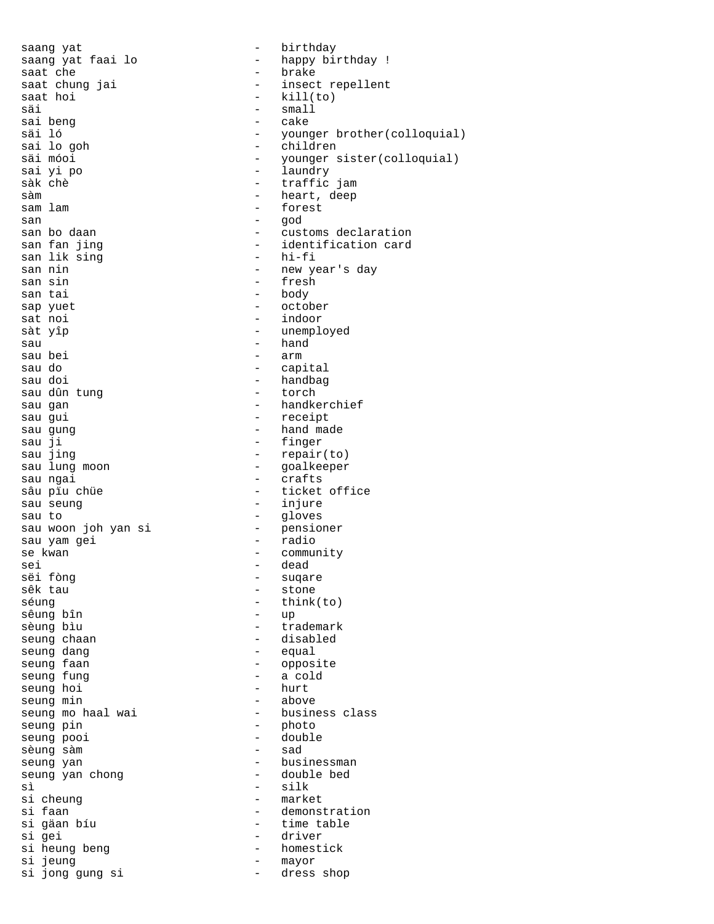saang yat  $-$  birthday saat che interesse in the saat chung jai saat hoi <sup>-</sup> kill(to)<br>säi - small - small säi - small<br>sai beng - small - cake sai beng - cake sai lo goh - children sai yi po - laundry sàk chè  $\frac{1}{2}$  - traffic jam sam lam  $-$  forest san - god san lik sing<br>san nin san sin - fresh san tai - body sap yuet - october sàt yîp  $-$  unemployed sau - hand - hand - hand - hand - hand - hand - hand - hand - hand - hand - hand - hand - hand - hand - hand sau do  $\qquad \qquad -$  capital sau doi - handbag sau dûn tung sau gan  $-$  handkerchief sau gui  $-$  receipt sau gung - hand made sau ji - finger<br>sau jing - finger - finger sau jing - repair(to) sau ngai  $-$  crafts sau seung  $\overline{\phantom{a}}$  - injure sau to  $\qquad \qquad -$  gloves sau woon joh yan si sau yam gei - radio se kwan - community<br>sei - dead - dead sei - dead<br>sëi fòng - man - suqar sëi fòng - suqare sêk tau  $\frac{1}{2}$  - stone séung - stone sêung bîn<br>sèung bìu sèung bìu - trademark seung dang seung faan die 19de eeu n.C. Soos aan die gewone van die 19de eeu n.C. Soos ander gewone van die 19de eeu n.C. seung fung  $\qquad \qquad \qquad$  - a cold seung hoi seung hoi seung min - above seung pin  $-$  photo seung pooi - double sèung sàm - sad seung yan<br>seung van chong<br>- double bed seung yan chong<br>sì si cheung<br>si faan si gäan bíu  $-$  time table si gei - driver si heung beng  $-$  homestick<br>si jeung  $-$  mayor si jong gung si

saang yat faai lo  $-$  happy birthday ! saat chung jai  $-$  insect repellent saat hoi säi ló - younger brother(colloquial) säi móoi - younger sister(colloquial) - heart, deep san bo daan  $\begin{array}{ccc} - & - & - \\ - & - & - \end{array}$  dentification card - identification card<br>- hi-fi san nin - new year's day - indoor - arm - goalkeeper sâu pïu chüe - ticket office - think(to)<br>- up - disabled<br>- equal seung mo haal wai - business class<br>seung pin - photo - silk<br>- market - demonstration - mayor<br>- dress shop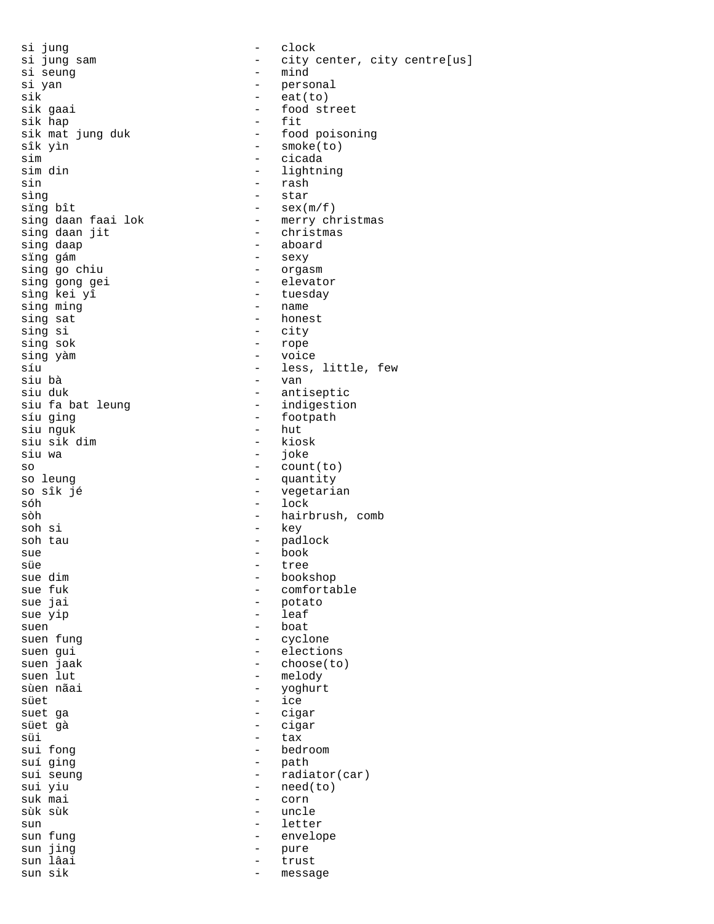si jung - clock si yan - personal sik = eat(to) = eat(to) = eat(to) = eat(to) = eat(to) = eat(to) = eat(to) = eat(to) = eat(to) = eat(to) = eat( sik hap<br>sik mat jung duk sik mat jung duk - food poisoning<br>sîk yìn - smoke(to) sim entry the cicada entry of the cicada sim din  $-$  lightning sin - rash sìng  $-$  star sing bît  $-$  sex $(m/f)$ sing daan faai lok - merry christmas<br>sing daan jit - christmas sing daan jit sing daap - aboard sing go chiu sing gong gei - elevator  $\sin \theta$  kei yî  $\sin \theta$  - tuesday  $\sin \theta$  ming  $\sin \theta$  - name  $sing$  sat  $-$  honest sing si extending the state of the city sing sok and the state of the state of the state of the state of the state of the state of the state of the state of the state of the state of the state of the state of the state of the state of the state of the state of t sing yàm  $-$  voice síu - less, little, few siu duk - antiseptic siu fa bat leung síu ging  $\begin{array}{ccc} - & - & - & - & \text{footpath} \\ \text{siu} & \text{quk} & - & \text{hut} \end{array}$ siu nguk - hut siu sik dim<br>siu wa so - count(to) so sîk jé  $-$  vegetarian sóh - lock sòh - hairbrush, comb soh si - key soh tau  $-$  padlock sue - book süe - tree sue dim - bookshop sue fuk - comfortable sue jai - potato suen 1989 - Boat Suen fung de Sonstantinople en 1989 - Boat Suen fung de Sons et al. 1989 - Boat Suen fung de S<br>Suen fung de Sons et al. 1989 - Suen fung de Sons et al. 1989 - Suen fung de Sons et al. 1989 - Suen fung de S suen gui  $-$  elections suen jaak  $\overline{\phantom{a}}$  - choose(to) suen lut - melody sùen nãai - yoghurt süet - ice suet ga - cigar süet gà - cigar süi - tax<br>sui fong - tax - bedı sui fong  $\begin{array}{ccc} - & - & - \\ - & - & - \\ - & - & - \\ \end{array}$  bedroom suí ging  $-$  path<br>sui seung  $-$  radia sui seung  $-$  radiator(car)<br>sui yiu  $-$  need(to) sui yiu - need(to)<br>suk mai - corn suk mai - corn sun - letter sun fung  $-$  envelope sun jing  $-$  pure sun lâai sun lâai - trust

si jung sam  $-$  city center, city centre[us]<br>si seung  $-$  mind - mind - food street<br>- fit - smoke(to) - sexy<br>- orgasm sing ming - name - van - joke - quantity - leaf - cyclone - uncle - message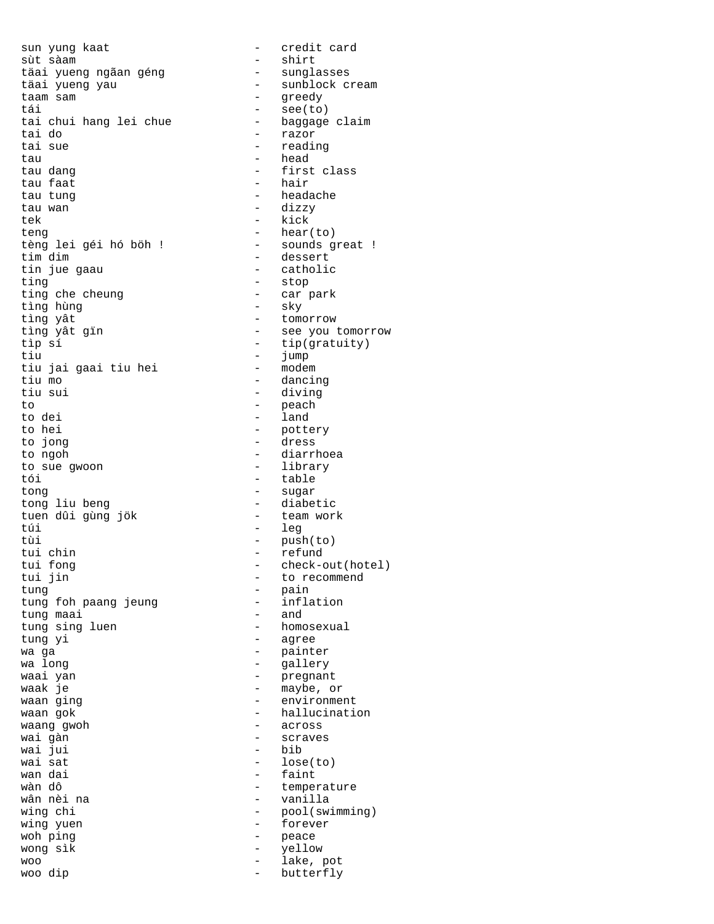sun yung kaat  $-$  credit card sùt sàam<br>täai yueng ngãan géng sunglasses täai yueng ngãan géng sunglasses<br>täai yueng yau sunblock cream täai yueng yau taam sam - greedy tái - see(to) tai chui hang lei chue - baggage claim<br>tai do - razor tai do - razor tau - head tau dang  $-$  first class tau faat is a behavior of the hair tau tung entre announcement and the headache tau wan - dizzy tek - kick<br>teng - hear tèng lei géi hó böh !<br>tim dim tim dim  $\frac{1}{2}$  tim dim  $\frac{1}{2}$  dessert  $\frac{1}{2}$  dessert  $\frac{1}{2}$  dessert ting  $\overline{ }$  - stop<br>ting che cheung  $\overline{ }$  - car p ting che cheung  $\qquad -$  car park<br>tìng hùng  $\qquad -$  sky tìng hùng - sky tìng yât - tomorrow tìng yât gïn - see you tomorrow tìp sí - tip(gratuity) tiu - jump<br>tiu iai qaai tiu hei - modem - modem tiu jai gaai tiu hei tiu mo  $\overline{ }$  - dancing<br>tiu sui - diving to - peach to dei  $-$  land to hei - pottery to jong - dress to sue gwoon  $-$  library tói - table tong - sugar tuen dûi gùng jök túi comhair an cheannan an túir an teangach an teangach an teangach an teangach an teangach an teangach an teangach an teangach an teangach an teangach an teangach an teangach an teangach an teangach an teangach an teangac tùi - push(to) tui chin - refund tui fong - check-out(hotel) tung - pain tung foh paang jeung - infl<br>tung maai - and tung maai<br>tung sing luen tung yi  $\overline{ }$  agree wa ga  $\overline{a}$  - painter wa long  $\qquad \qquad$  - gallery waai yan - pregnant waak je - maybe, or waan ging  $\overline{a}$  - environment waan gok  $\overline{\phantom{a}}$  - hallucination waang gwoh  $-$  across wai gàn - scraves wai jui<br>wai sat wai sat  $\begin{array}{ccc} - & \text{lose}(\text{to}) \\ \text{wan dai} & - & \text{faint} \end{array}$ wan dai  $\frac{1}{2}$  - faint wàn dô wàn dô - temperature wing chi  $\qquad -$  pool(swimming) wing yuen - forever woh ping<br>wong sik and the section of the peace wong sik wong sìk and the set of the set of the set of the set of the set of the set of the set of the set of the set o woo - lake, pot

- reading - hear(to)<br>- sounds great ! - catholic - diving - diarrhoea - diabetic<br>- team work - to recommend - homosexual - vanilla butterfly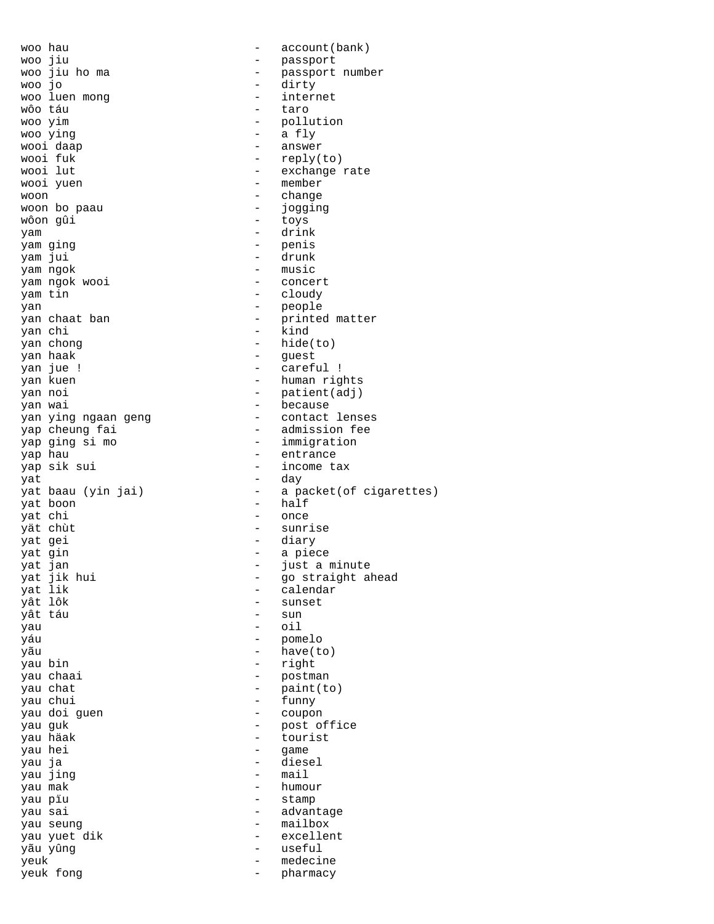woo jiu  $-$  passport woo jo - dirty woo luen mong extending the state of the internet wôo táu  $\sim$  taro woo yim  $-$  pollution woo ying  $-$  a fly wooi daap  $\overline{a}$  - answer wooi fuk  $-$  reply(to)<br>wooi lut  $-$  exchange : wooi yuen - member woon - change woon bo paau - jogging wôon gûi - toys yam - drink yam ging - penis yam jui - drunk yam ngok - music yam ngok wooi - concert yam tin - cloudy yan - people yan chi - kind yan chong  $\qquad - \text{ hide}(\text{to})$ yan haak  $\overline{\phantom{a}}$  - guest yan jue ! - careful ! yan kuen  $\frac{1}{2}$  - human rights yan noi - patient(adj) yan wai - because yap ging si mo  $-$  immigration yap hau  $\qquad$  - entrance yap sik sui - income tax yat - day yat boon - half yat chi - once yät chùt  $-$  sunrise yat gei - diary yat gin  $-$  a piece yat lik - calendar yât táu - sun yau - oil yáu - pomelo yãu - have(to) yau bin - right yau chaai - postman<br>yau chat - postman<br>- postman - postman yau chat  $-$  paint(to) yau chui - funny yau doi guen - coupon yau guk  $\frac{1}{2}$  - post office yau häak - tourist<br>vau hei - tourist - tourist yau hei  $-$  game yau ja - diesel yau jing  $-$  mail yau mak - humour yau pïu - stamp yau sai  $-$  advantage yau seung  $-$  mailbox yau yuet dik  $-$  excellent yãu yûng - useful yeuk - medecine yeuk fong  $\qquad \qquad$  - pharmacy

woo hau  $-$  account(bank) woo jiu ho ma - passport number - exchange rate yan chaat ban  $-$  printed matter yan ying ngaan geng  $\sim$  - contact lenses yap cheung fai - admission fee - a packet(of cigarettes) yat jan - just a minute yat jik hui - go straight ahead - sunset<br>- sun